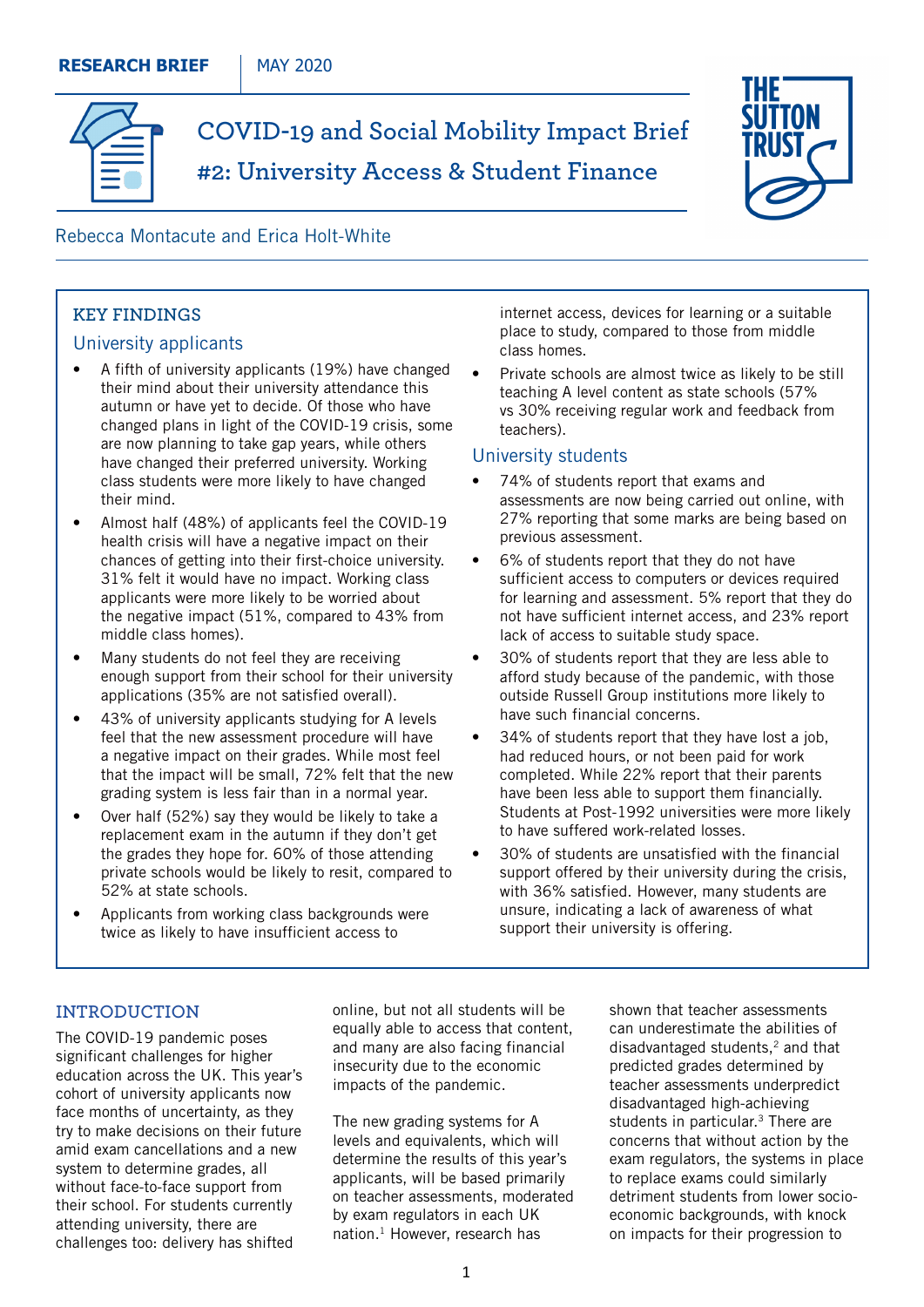

**COVID-19 and Social Mobility Impact Brief #2: University Access & Student Finance**



# Rebecca Montacute and Erica Holt-White

# **KEY FINDINGS**

# University applicants

- A fifth of university applicants (19%) have changed their mind about their university attendance this autumn or have yet to decide. Of those who have changed plans in light of the COVID-19 crisis, some are now planning to take gap years, while others have changed their preferred university. Working class students were more likely to have changed their mind.
- Almost half (48%) of applicants feel the COVID-19 health crisis will have a negative impact on their chances of getting into their first-choice university. 31% felt it would have no impact. Working class applicants were more likely to be worried about the negative impact (51%, compared to 43% from middle class homes).
- Many students do not feel they are receiving enough support from their school for their university applications (35% are not satisfied overall).
- 43% of university applicants studying for A levels feel that the new assessment procedure will have a negative impact on their grades. While most feel that the impact will be small, 72% felt that the new grading system is less fair than in a normal year.
- Over half (52%) say they would be likely to take a replacement exam in the autumn if they don't get the grades they hope for. 60% of those attending private schools would be likely to resit, compared to 52% at state schools.
- Applicants from working class backgrounds were twice as likely to have insufficient access to

internet access, devices for learning or a suitable place to study, compared to those from middle class homes.

Private schools are almost twice as likely to be still teaching A level content as state schools (57% vs 30% receiving regular work and feedback from teachers).

### University students

- 74% of students report that exams and assessments are now being carried out online, with 27% reporting that some marks are being based on previous assessment.
- 6% of students report that they do not have sufficient access to computers or devices required for learning and assessment. 5% report that they do not have sufficient internet access, and 23% report lack of access to suitable study space.
- 30% of students report that they are less able to afford study because of the pandemic, with those outside Russell Group institutions more likely to have such financial concerns.
- 34% of students report that they have lost a job, had reduced hours, or not been paid for work completed. While 22% report that their parents have been less able to support them financially. Students at Post-1992 universities were more likely to have suffered work-related losses.
- 30% of students are unsatisfied with the financial support offered by their university during the crisis, with 36% satisfied. However, many students are unsure, indicating a lack of awareness of what support their university is offering.

### **INTRODUCTION**

The COVID-19 pandemic poses significant challenges for higher education across the UK. This year's cohort of university applicants now face months of uncertainty, as they try to make decisions on their future amid exam cancellations and a new system to determine grades, all without face-to-face support from their school. For students currently attending university, there are challenges too: delivery has shifted

online, but not all students will be equally able to access that content, and many are also facing financial insecurity due to the economic impacts of the pandemic.

The new grading systems for A levels and equivalents, which will determine the results of this year's applicants, will be based primarily on teacher assessments, moderated by exam regulators in each UK nation.<sup>1</sup> However, research has

shown that teacher assessments can underestimate the abilities of disadvantaged students,2 and that predicted grades determined by teacher assessments underpredict disadvantaged high-achieving students in particular.<sup>3</sup> There are concerns that without action by the exam regulators, the systems in place to replace exams could similarly detriment students from lower socioeconomic backgrounds, with knock on impacts for their progression to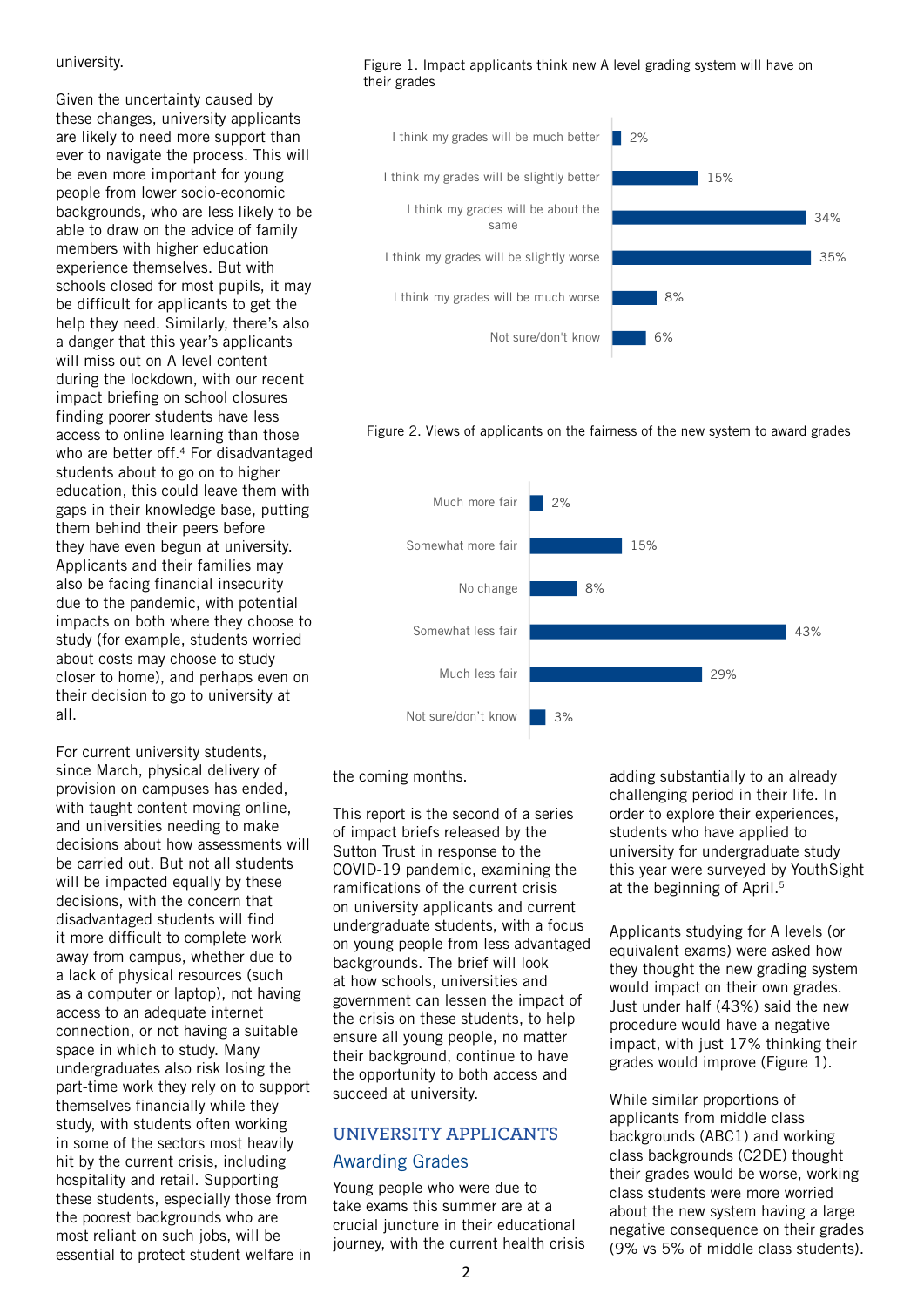#### university.

Given the uncertainty caused by these changes, university applicants are likely to need more support than ever to navigate the process. This will be even more important for young people from lower socio-economic backgrounds, who are less likely to be able to draw on the advice of family members with higher education experience themselves. But with schools closed for most pupils, it may be difficult for applicants to get the help they need. Similarly, there's also a danger that this year's applicants will miss out on A level content during the lockdown, with our recent impact briefing on school closures finding poorer students have less access to online learning than those who are better off.<sup>4</sup> For disadvantaged students about to go on to higher education, this could leave them with gaps in their knowledge base, putting them behind their peers before they have even begun at university. Applicants and their families may also be facing financial insecurity due to the pandemic, with potential impacts on both where they choose to study (for example, students worried about costs may choose to study closer to home), and perhaps even on their decision to go to university at all.

For current university students, since March, physical delivery of provision on campuses has ended, with taught content moving online, and universities needing to make decisions about how assessments will be carried out. But not all students will be impacted equally by these decisions, with the concern that disadvantaged students will find it more difficult to complete work away from campus, whether due to a lack of physical resources (such as a computer or laptop), not having access to an adequate internet connection, or not having a suitable space in which to study. Many undergraduates also risk losing the part-time work they rely on to support themselves financially while they study, with students often working in some of the sectors most heavily hit by the current crisis, including hospitality and retail. Supporting these students, especially those from the poorest backgrounds who are most reliant on such jobs, will be essential to protect student welfare in Figure 1. Impact applicants think new A level grading system will have on their grades



#### Figure 2. Views of applicants on the fairness of the new system to award grades



the coming months.

This report is the second of a series of impact briefs released by the Sutton Trust in response to the COVID-19 pandemic, examining the ramifications of the current crisis on university applicants and current undergraduate students, with a focus on young people from less advantaged backgrounds. The brief will look at how schools, universities and government can lessen the impact of the crisis on these students, to help ensure all young people, no matter their background, continue to have the opportunity to both access and succeed at university.

# **UNIVERSITY APPLICANTS** Awarding Grades

Young people who were due to take exams this summer are at a crucial juncture in their educational journey, with the current health crisis adding substantially to an already challenging period in their life. In order to explore their experiences, students who have applied to university for undergraduate study this year were surveyed by YouthSight at the beginning of April.<sup>5</sup>

Applicants studying for A levels (or equivalent exams) were asked how they thought the new grading system would impact on their own grades. Just under half (43%) said the new procedure would have a negative impact, with just 17% thinking their grades would improve (Figure 1).

While similar proportions of applicants from middle class backgrounds (ABC1) and working class backgrounds (C2DE) thought their grades would be worse, working class students were more worried about the new system having a large negative consequence on their grades (9% vs 5% of middle class students).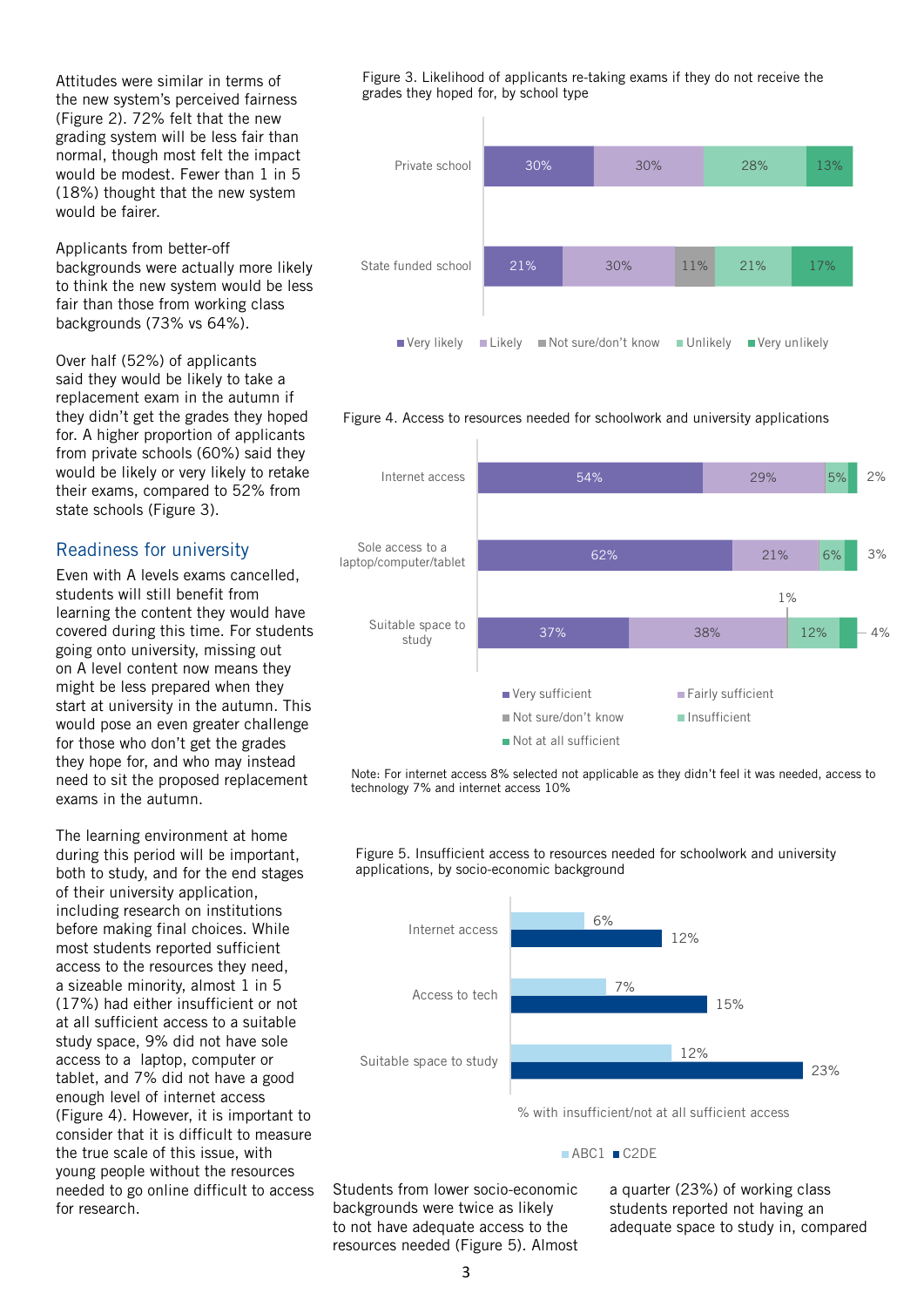Attitudes were similar in terms of the new system's perceived fairness (Figure 2). 72% felt that the new grading system will be less fair than normal, though most felt the impact would be modest. Fewer than 1 in 5 (18%) thought that the new system would be fairer.

Applicants from better-off backgrounds were actually more likely to think the new system would be less fair than those from working class backgrounds (73% vs 64%).

Over half (52%) of applicants said they would be likely to take a replacement exam in the autumn if they didn't get the grades they hoped for. A higher proportion of applicants from private schools (60%) said they would be likely or very likely to retake their exams, compared to 52% from state schools (Figure 3).

## Readiness for university

Even with A levels exams cancelled, students will still benefit from learning the content they would have covered during this time. For students going onto university, missing out on A level content now means they might be less prepared when they start at university in the autumn. This would pose an even greater challenge for those who don't get the grades they hope for, and who may instead need to sit the proposed replacement exams in the autumn.

The learning environment at home during this period will be important, both to study, and for the end stages of their university application, including research on institutions before making final choices. While most students reported sufficient access to the resources they need, a sizeable minority, almost 1 in 5 (17%) had either insufficient or not at all sufficient access to a suitable study space, 9% did not have sole access to a laptop, computer or tablet, and 7% did not have a good enough level of internet access (Figure 4). However, it is important to consider that it is difficult to measure the true scale of this issue, with young people without the resources needed to go online difficult to access for research.

Figure 3. Likelihood of applicants re-taking exams if they do not receive the grades they hoped for, by school type



#### Figure 4. Access to resources needed for schoolwork and university applications



Note: For internet access 8% selected not applicable as they didn't feel it was needed, access to technology 7% and internet access 10%

Figure 5. Insufficient access to resources needed for schoolwork and university applications, by socio-economic background



#### ■ABC1 ■C2DE

Students from lower socio-economic backgrounds were twice as likely to not have adequate access to the resources needed (Figure 5). Almost a quarter (23%) of working class students reported not having an adequate space to study in, compared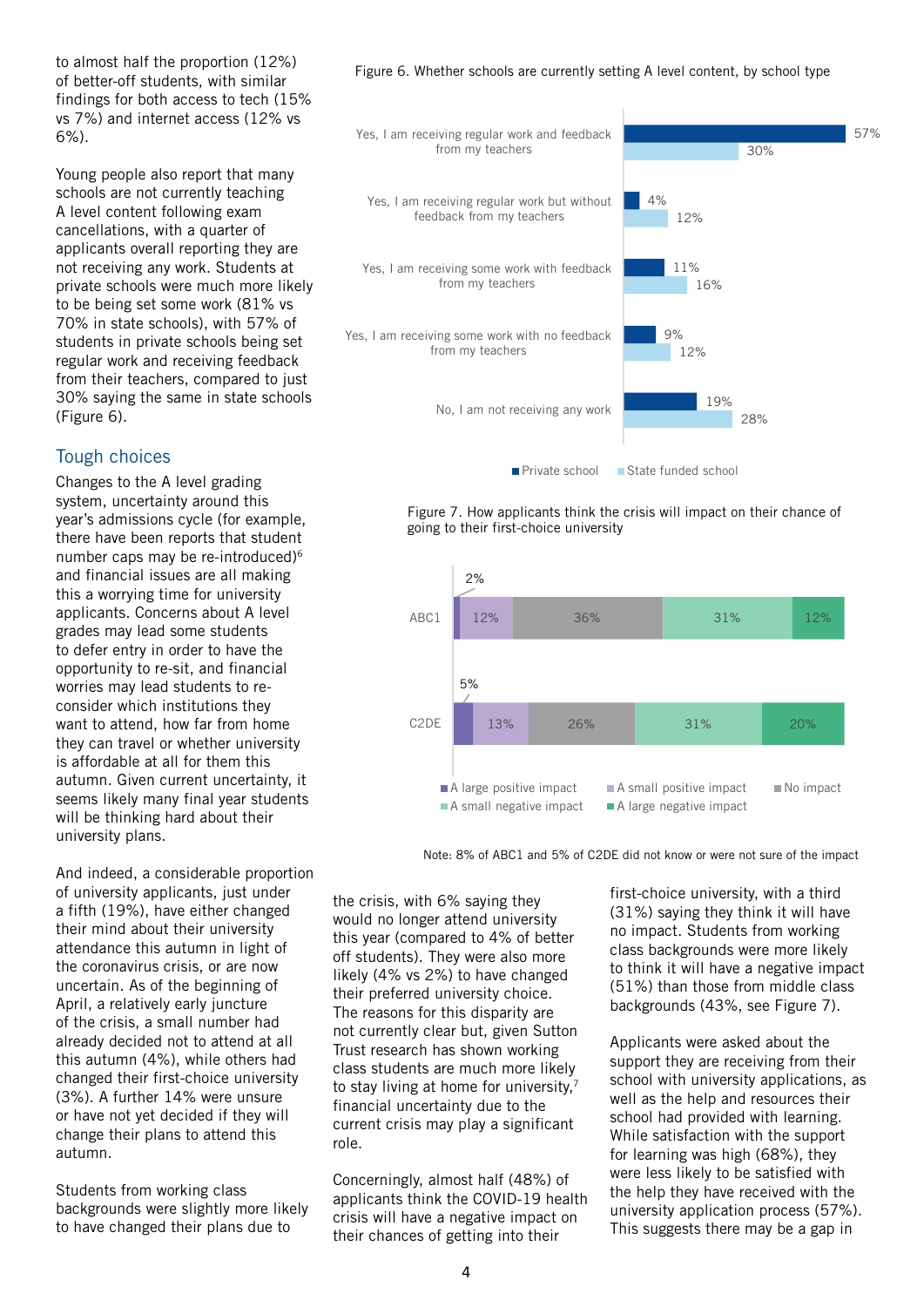to almost half the proportion (12%) of better-off students, with similar findings for both access to tech (15% vs 7%) and internet access (12% vs 6%).

Young people also report that many schools are not currently teaching A level content following exam cancellations, with a quarter of applicants overall reporting they are not receiving any work. Students at private schools were much more likely to be being set some work (81% vs 70% in state schools), with 57% of students in private schools being set regular work and receiving feedback from their teachers, compared to just 30% saying the same in state schools (Figure 6).

### Tough choices

Changes to the A level grading system, uncertainty around this year's admissions cycle (for example, there have been reports that student number caps may be re-introduced)<sup>6</sup> and financial issues are all making this a worrying time for university applicants. Concerns about A level grades may lead some students to defer entry in order to have the opportunity to re-sit, and financial worries may lead students to reconsider which institutions they want to attend, how far from home they can travel or whether university is affordable at all for them this autumn. Given current uncertainty, it seems likely many final year students will be thinking hard about their university plans.

And indeed, a considerable proportion of university applicants, just under a fifth (19%), have either changed their mind about their university attendance this autumn in light of the coronavirus crisis, or are now uncertain. As of the beginning of April, a relatively early juncture of the crisis, a small number had already decided not to attend at all this autumn (4%), while others had changed their first-choice university (3%). A further 14% were unsure or have not yet decided if they will change their plans to attend this autumn.

Students from working class backgrounds were slightly more likely to have changed their plans due to

Figure 6. Whether schools are currently setting A level content, by school type



Figure 7. How applicants think the crisis will impact on their chance of going to their first-choice university



Note: 8% of ABC1 and 5% of C2DE did not know or were not sure of the impact

the crisis, with 6% saying they would no longer attend university this year (compared to 4% of better off students). They were also more likely (4% vs 2%) to have changed their preferred university choice. The reasons for this disparity are not currently clear but, given Sutton Trust research has shown working class students are much more likely to stay living at home for university,7 financial uncertainty due to the current crisis may play a significant role.

Concerningly, almost half (48%) of applicants think the COVID-19 health crisis will have a negative impact on their chances of getting into their

first-choice university, with a third (31%) saying they think it will have no impact. Students from working class backgrounds were more likely to think it will have a negative impact (51%) than those from middle class backgrounds (43%, see Figure 7).

Applicants were asked about the support they are receiving from their school with university applications, as well as the help and resources their school had provided with learning. While satisfaction with the support for learning was high (68%), they were less likely to be satisfied with the help they have received with the university application process (57%). This suggests there may be a gap in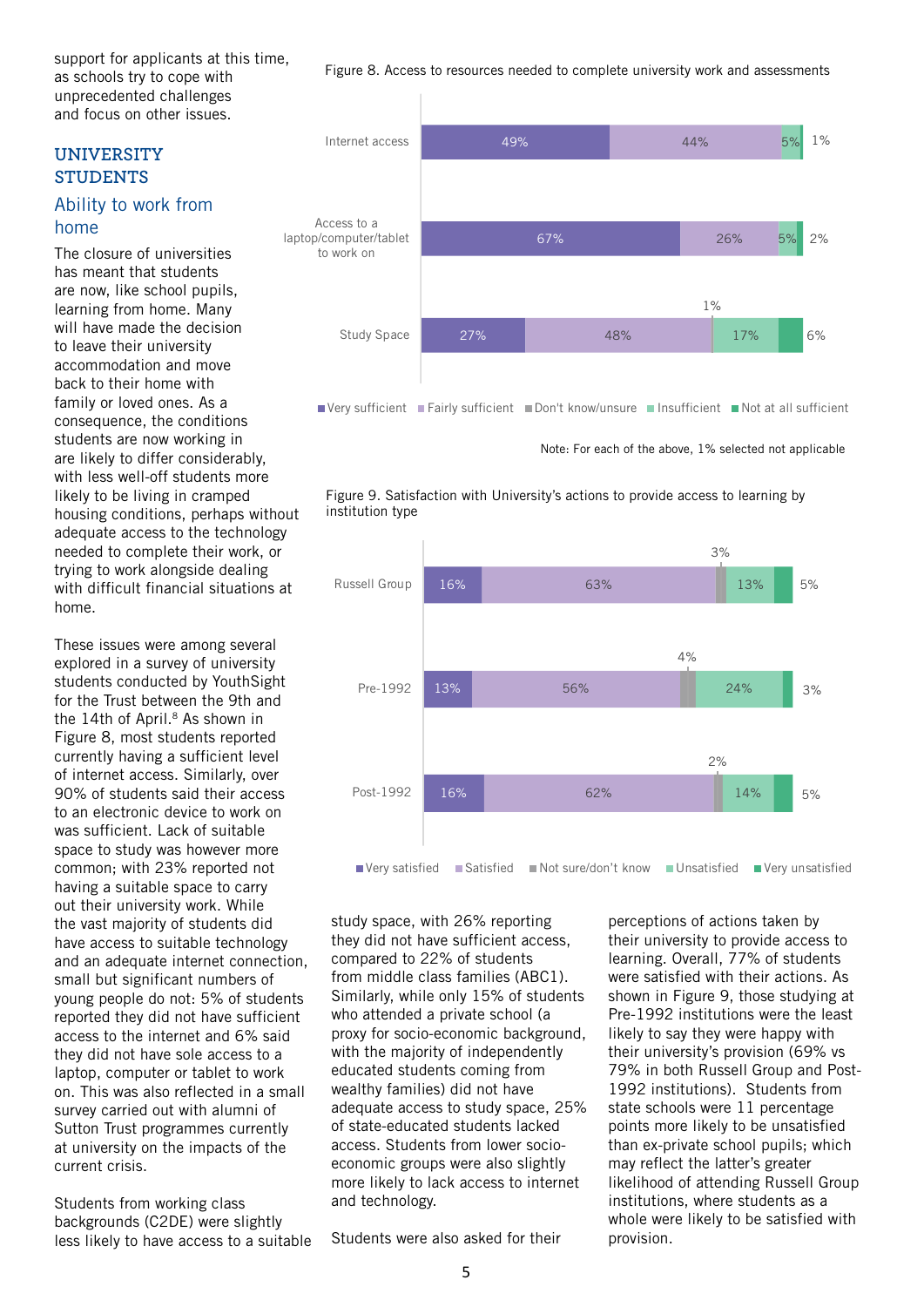support for applicants at this time, as schools try to cope with unprecedented challenges and focus on other issues.

### **UNIVERSITY STUDENTS**

## Ability to work from home

The closure of universities has meant that students are now, like school pupils, learning from home. Many will have made the decision to leave their university accommodation and move back to their home with family or loved ones. As a consequence, the conditions students are now working in are likely to differ considerably, with less well-off students more likely to be living in cramped housing conditions, perhaps without adequate access to the technology needed to complete their work, or trying to work alongside dealing with difficult financial situations at home.

These issues were among several explored in a survey of university students conducted by YouthSight for the Trust between the 9th and the 14th of April.<sup>8</sup> As shown in Figure 8, most students reported currently having a sufficient level of internet access. Similarly, over 90% of students said their access to an electronic device to work on was sufficient. Lack of suitable space to study was however more common; with 23% reported not having a suitable space to carry out their university work. While the vast majority of students did have access to suitable technology and an adequate internet connection, small but significant numbers of young people do not: 5% of students reported they did not have sufficient access to the internet and 6% said they did not have sole access to a laptop, computer or tablet to work on. This was also reflected in a small survey carried out with alumni of Sutton Trust programmes currently at university on the impacts of the current crisis.

Students from working class backgrounds (C2DE) were slightly less likely to have access to a suitable Figure 8. Access to resources needed to complete university work and assessments



Note: For each of the above, 1% selected not applicable





study space, with 26% reporting they did not have sufficient access, compared to 22% of students from middle class families (ABC1). Similarly, while only 15% of students who attended a private school (a proxy for socio-economic background, with the majority of independently educated students coming from wealthy families) did not have adequate access to study space, 25% of state-educated students lacked access. Students from lower socioeconomic groups were also slightly more likely to lack access to internet and technology.

Students were also asked for their

perceptions of actions taken by their university to provide access to learning. Overall, 77% of students were satisfied with their actions. As shown in Figure 9, those studying at Pre-1992 institutions were the least likely to say they were happy with their university's provision (69% vs 79% in both Russell Group and Post-1992 institutions). Students from state schools were 11 percentage points more likely to be unsatisfied than ex-private school pupils; which may reflect the latter's greater likelihood of attending Russell Group institutions, where students as a whole were likely to be satisfied with provision.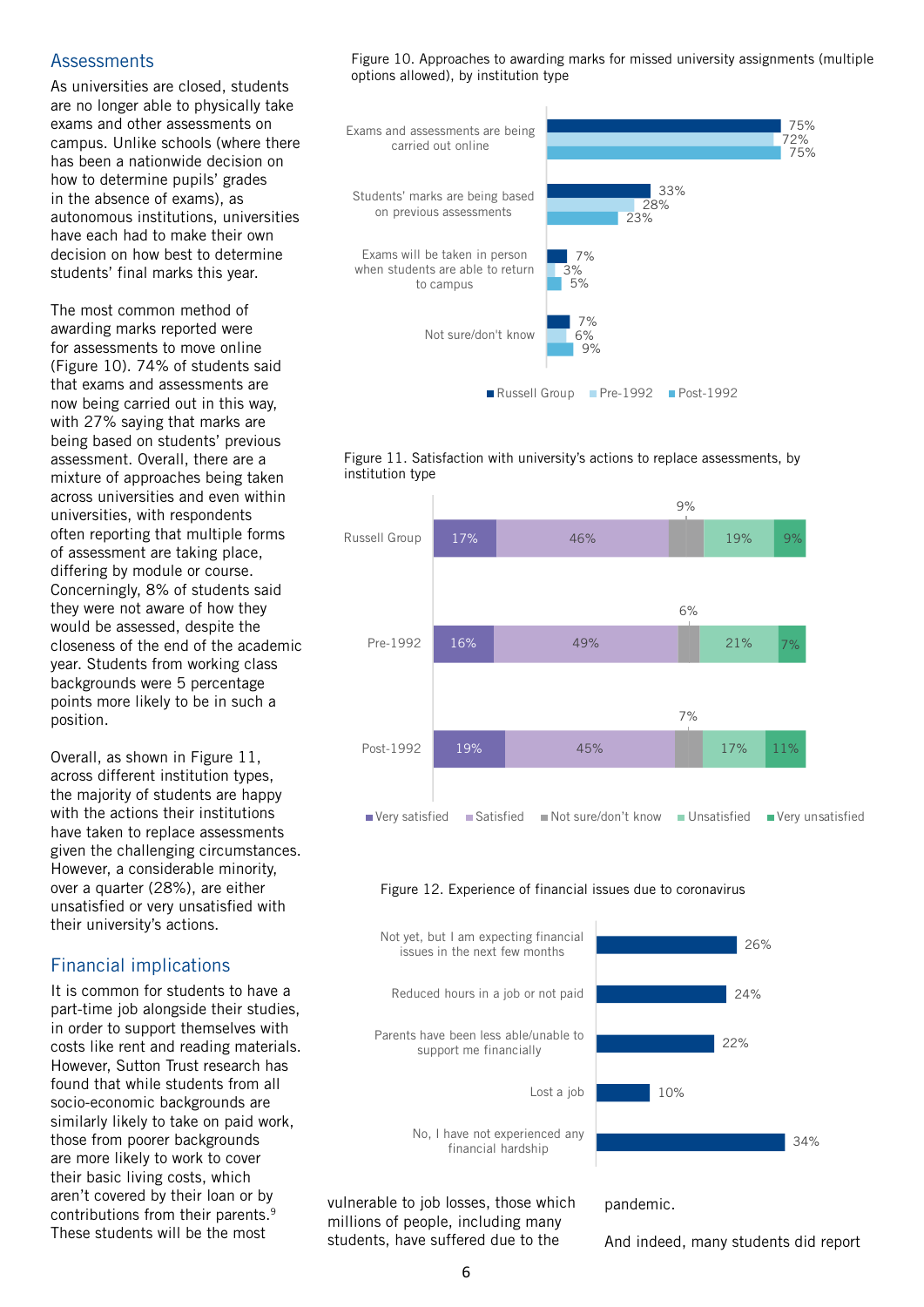### **Assessments**

As universities are closed, students are no longer able to physically take exams and other assessments on campus. Unlike schools (where there has been a nationwide decision on how to determine pupils' grades in the absence of exams), as autonomous institutions, universities have each had to make their own decision on how best to determine students' final marks this year.

The most common method of awarding marks reported were for assessments to move online (Figure 10). 74% of students said that exams and assessments are now being carried out in this way, with 27% saying that marks are being based on students' previous assessment. Overall, there are a mixture of approaches being taken across universities and even within universities, with respondents often reporting that multiple forms of assessment are taking place, differing by module or course. Concerningly, 8% of students said they were not aware of how they would be assessed, despite the closeness of the end of the academic year. Students from working class backgrounds were 5 percentage points more likely to be in such a position.

Overall, as shown in Figure 11, across different institution types, the majority of students are happy with the actions their institutions have taken to replace assessments given the challenging circumstances. However, a considerable minority, over a quarter (28%), are either unsatisfied or very unsatisfied with their university's actions.

# Financial implications

It is common for students to have a part-time job alongside their studies, in order to support themselves with costs like rent and reading materials. However, Sutton Trust research has found that while students from all socio-economic backgrounds are similarly likely to take on paid work, those from poorer backgrounds are more likely to work to cover their basic living costs, which aren't covered by their loan or by contributions from their parents.9 These students will be the most

Figure 10. Approaches to awarding marks for missed university assignments (multiple options allowed), by institution type







#### Figure 12. Experience of financial issues due to coronavirus



vulnerable to job losses, those which millions of people, including many students, have suffered due to the

pandemic.

And indeed, many students did report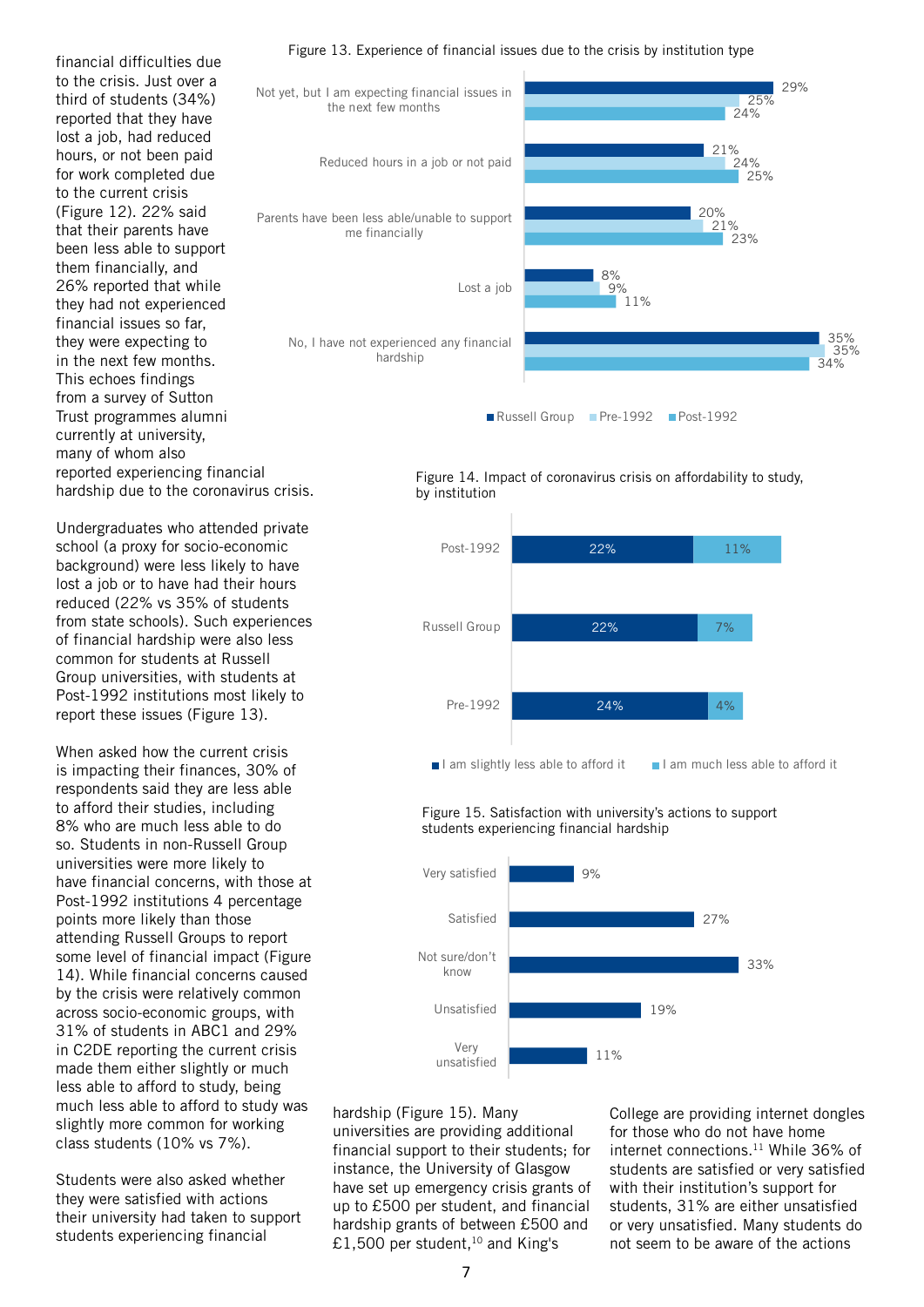financial difficulties due to the crisis. Just over a third of students (34%) reported that they have lost a job, had reduced hours, or not been paid for work completed due to the current crisis (Figure 12). 22% said that their parents have been less able to support them financially, and 26% reported that while they had not experienced financial issues so far, they were expecting to in the next few months. This echoes findings from a survey of Sutton Trust programmes alumni currently at university, many of whom also reported experiencing financial hardship due to the coronavirus crisis.

Undergraduates who attended private school (a proxy for socio-economic background) were less likely to have lost a job or to have had their hours reduced (22% vs 35% of students from state schools). Such experiences of financial hardship were also less common for students at Russell Group universities, with students at Post-1992 institutions most likely to report these issues (Figure 13).

When asked how the current crisis is impacting their finances, 30% of respondents said they are less able to afford their studies, including 8% who are much less able to do so. Students in non-Russell Group universities were more likely to have financial concerns, with those at Post-1992 institutions 4 percentage points more likely than those attending Russell Groups to report some level of financial impact (Figure 14). While financial concerns caused by the crisis were relatively common across socio-economic groups, with 31% of students in ABC1 and 29% in C2DE reporting the current crisis made them either slightly or much less able to afford to study, being much less able to afford to study was slightly more common for working class students (10% vs 7%).

Students were also asked whether they were satisfied with actions their university had taken to support students experiencing financial

#### Figure 13. Experience of financial issues due to the crisis by institution type



Figure 14. Impact of coronavirus crisis on affordability to study, by institution



 Figure 15. Satisfaction with university's actions to support students experiencing financial hardship



hardship (Figure 15). Many universities are providing additional financial support to their students; for instance, the University of Glasgow have set up emergency crisis grants of up to £500 per student, and financial hardship grants of between £500 and £1,500 per student,<sup>10</sup> and King's

College are providing internet dongles for those who do not have home internet connections.<sup>11</sup> While 36% of students are satisfied or very satisfied with their institution's support for students, 31% are either unsatisfied or very unsatisfied. Many students do not seem to be aware of the actions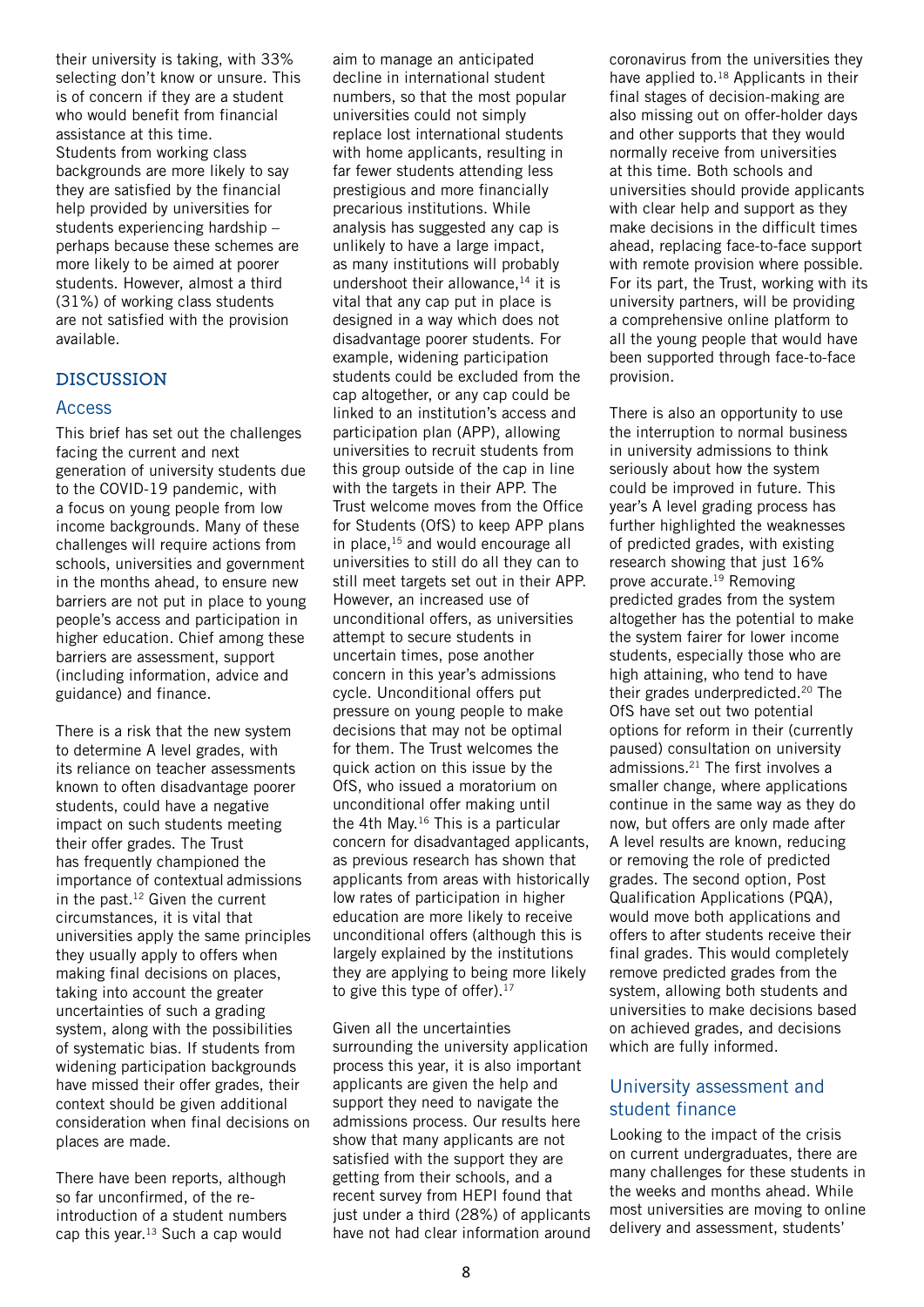their university is taking, with 33% selecting don't know or unsure. This is of concern if they are a student who would benefit from financial assistance at this time. Students from working class backgrounds are more likely to say they are satisfied by the financial help provided by universities for students experiencing hardship – perhaps because these schemes are more likely to be aimed at poorer students. However, almost a third (31%) of working class students are not satisfied with the provision available.

### **DISCUSSION**

### Access

This brief has set out the challenges facing the current and next generation of university students due to the COVID-19 pandemic, with a focus on young people from low income backgrounds. Many of these challenges will require actions from schools, universities and government in the months ahead, to ensure new barriers are not put in place to young people's access and participation in higher education. Chief among these barriers are assessment, support (including information, advice and guidance) and finance.

There is a risk that the new system to determine A level grades, with its reliance on teacher assessments known to often disadvantage poorer students, could have a negative impact on such students meeting their offer grades. The Trust has frequently championed the importance of contextual admissions in the past.12 Given the current circumstances, it is vital that universities apply the same principles they usually apply to offers when making final decisions on places, taking into account the greater uncertainties of such a grading system, along with the possibilities of systematic bias. If students from widening participation backgrounds have missed their offer grades, their context should be given additional consideration when final decisions on places are made.

There have been reports, although so far unconfirmed, of the reintroduction of a student numbers cap this year.13 Such a cap would

aim to manage an anticipated decline in international student numbers, so that the most popular universities could not simply replace lost international students with home applicants, resulting in far fewer students attending less prestigious and more financially precarious institutions. While analysis has suggested any cap is unlikely to have a large impact, as many institutions will probably undershoot their allowance, $14$  it is vital that any cap put in place is designed in a way which does not disadvantage poorer students. For example, widening participation students could be excluded from the cap altogether, or any cap could be linked to an institution's access and participation plan (APP), allowing universities to recruit students from this group outside of the cap in line with the targets in their APP. The Trust welcome moves from the Office for Students (OfS) to keep APP plans in place,  $15$  and would encourage all universities to still do all they can to still meet targets set out in their APP. However, an increased use of unconditional offers, as universities attempt to secure students in uncertain times, pose another concern in this year's admissions cycle. Unconditional offers put pressure on young people to make decisions that may not be optimal for them. The Trust welcomes the quick action on this issue by the OfS, who issued a moratorium on unconditional offer making until the 4th May.<sup>16</sup> This is a particular concern for disadvantaged applicants, as previous research has shown that applicants from areas with historically low rates of participation in higher education are more likely to receive unconditional offers (although this is largely explained by the institutions they are applying to being more likely to give this type of offer). $17$ 

Given all the uncertainties surrounding the university application process this year, it is also important applicants are given the help and support they need to navigate the admissions process. Our results here show that many applicants are not satisfied with the support they are getting from their schools, and a recent survey from HEPI found that just under a third (28%) of applicants have not had clear information around coronavirus from the universities they have applied to.<sup>18</sup> Applicants in their final stages of decision-making are also missing out on offer-holder days and other supports that they would normally receive from universities at this time. Both schools and universities should provide applicants with clear help and support as they make decisions in the difficult times ahead, replacing face-to-face support with remote provision where possible. For its part, the Trust, working with its university partners, will be providing a comprehensive online platform to all the young people that would have been supported through face-to-face provision.

There is also an opportunity to use the interruption to normal business in university admissions to think seriously about how the system could be improved in future. This year's A level grading process has further highlighted the weaknesses of predicted grades, with existing research showing that just 16% prove accurate.19 Removing predicted grades from the system altogether has the potential to make the system fairer for lower income students, especially those who are high attaining, who tend to have their grades underpredicted.<sup>20</sup> The OfS have set out two potential options for reform in their (currently paused) consultation on university admissions.21 The first involves a smaller change, where applications continue in the same way as they do now, but offers are only made after A level results are known, reducing or removing the role of predicted grades. The second option, Post Qualification Applications (PQA), would move both applications and offers to after students receive their final grades. This would completely remove predicted grades from the system, allowing both students and universities to make decisions based on achieved grades, and decisions which are fully informed.

# University assessment and student finance

Looking to the impact of the crisis on current undergraduates, there are many challenges for these students in the weeks and months ahead. While most universities are moving to online delivery and assessment, students'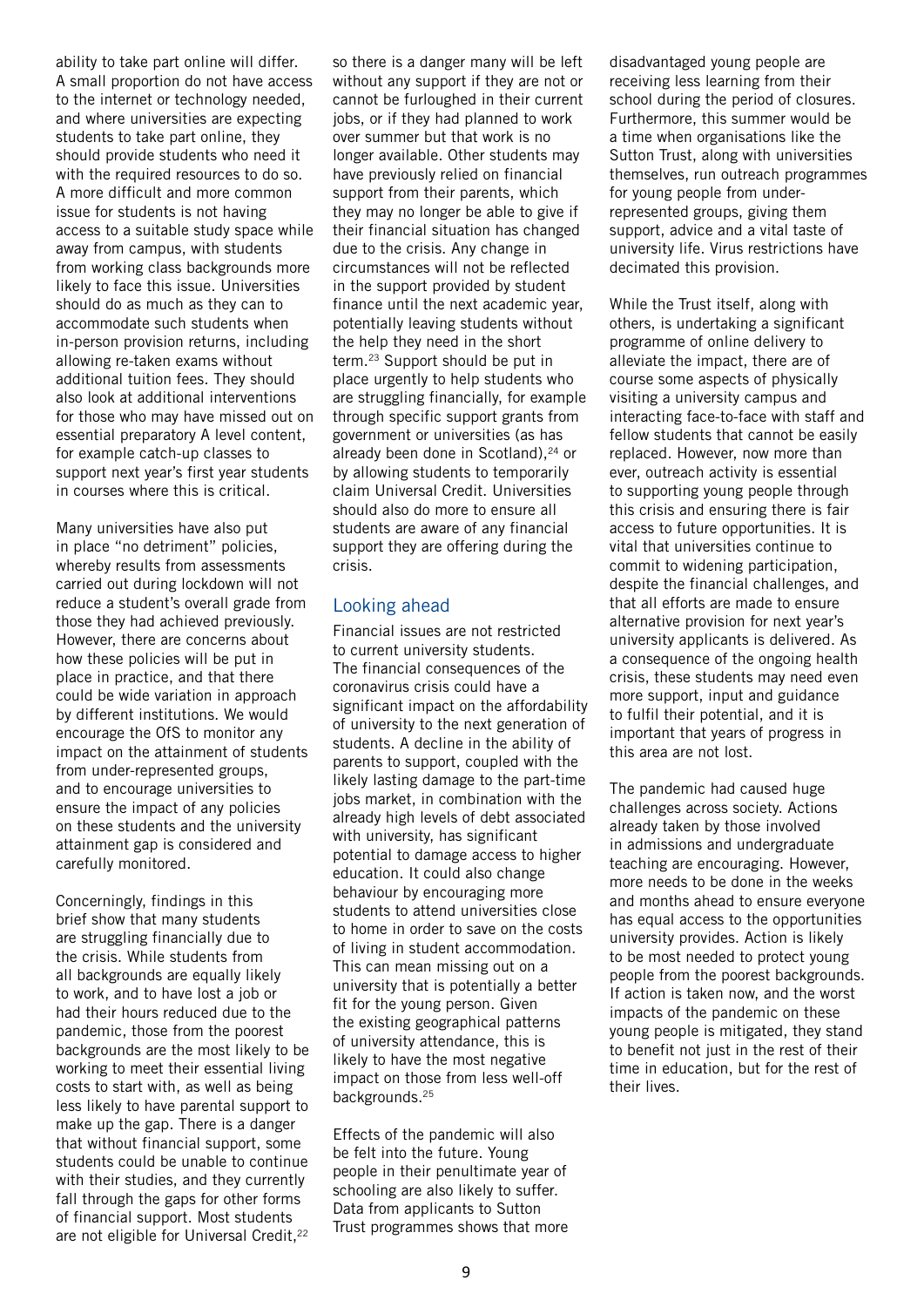ability to take part online will differ. A small proportion do not have access to the internet or technology needed, and where universities are expecting students to take part online, they should provide students who need it with the required resources to do so. A more difficult and more common issue for students is not having access to a suitable study space while away from campus, with students from working class backgrounds more likely to face this issue. Universities should do as much as they can to accommodate such students when in-person provision returns, including allowing re-taken exams without additional tuition fees. They should also look at additional interventions for those who may have missed out on essential preparatory A level content, for example catch-up classes to support next year's first year students in courses where this is critical.

Many universities have also put in place "no detriment" policies, whereby results from assessments carried out during lockdown will not reduce a student's overall grade from those they had achieved previously. However, there are concerns about how these policies will be put in place in practice, and that there could be wide variation in approach by different institutions. We would encourage the OfS to monitor any impact on the attainment of students from under-represented groups, and to encourage universities to ensure the impact of any policies on these students and the university attainment gap is considered and carefully monitored.

Concerningly, findings in this brief show that many students are struggling financially due to the crisis. While students from all backgrounds are equally likely to work, and to have lost a job or had their hours reduced due to the pandemic, those from the poorest backgrounds are the most likely to be working to meet their essential living costs to start with, as well as being less likely to have parental support to make up the gap. There is a danger that without financial support, some students could be unable to continue with their studies, and they currently fall through the gaps for other forms of financial support. Most students are not eligible for Universal Credit,<sup>22</sup>

so there is a danger many will be left without any support if they are not or cannot be furloughed in their current jobs, or if they had planned to work over summer but that work is no longer available. Other students may have previously relied on financial support from their parents, which they may no longer be able to give if their financial situation has changed due to the crisis. Any change in circumstances will not be reflected in the support provided by student finance until the next academic year, potentially leaving students without the help they need in the short term.<sup>23</sup> Support should be put in place urgently to help students who are struggling financially, for example through specific support grants from government or universities (as has already been done in Scotland), $24$  or by allowing students to temporarily claim Universal Credit. Universities should also do more to ensure all students are aware of any financial support they are offering during the crisis.

## Looking ahead

Financial issues are not restricted to current university students. The financial consequences of the coronavirus crisis could have a significant impact on the affordability of university to the next generation of students. A decline in the ability of parents to support, coupled with the likely lasting damage to the part-time jobs market, in combination with the already high levels of debt associated with university, has significant potential to damage access to higher education. It could also change behaviour by encouraging more students to attend universities close to home in order to save on the costs of living in student accommodation. This can mean missing out on a university that is potentially a better fit for the young person. Given the existing geographical patterns of university attendance, this is likely to have the most negative impact on those from less well-off backgrounds.<sup>25</sup>

Effects of the pandemic will also be felt into the future. Young people in their penultimate year of schooling are also likely to suffer. Data from applicants to Sutton Trust programmes shows that more disadvantaged young people are receiving less learning from their school during the period of closures. Furthermore, this summer would be a time when organisations like the Sutton Trust, along with universities themselves, run outreach programmes for young people from underrepresented groups, giving them support, advice and a vital taste of university life. Virus restrictions have decimated this provision.

While the Trust itself, along with others, is undertaking a significant programme of online delivery to alleviate the impact, there are of course some aspects of physically visiting a university campus and interacting face-to-face with staff and fellow students that cannot be easily replaced. However, now more than ever, outreach activity is essential to supporting young people through this crisis and ensuring there is fair access to future opportunities. It is vital that universities continue to commit to widening participation, despite the financial challenges, and that all efforts are made to ensure alternative provision for next year's university applicants is delivered. As a consequence of the ongoing health crisis, these students may need even more support, input and guidance to fulfil their potential, and it is important that years of progress in this area are not lost.

The pandemic had caused huge challenges across society. Actions already taken by those involved in admissions and undergraduate teaching are encouraging. However, more needs to be done in the weeks and months ahead to ensure everyone has equal access to the opportunities university provides. Action is likely to be most needed to protect young people from the poorest backgrounds. If action is taken now, and the worst impacts of the pandemic on these young people is mitigated, they stand to benefit not just in the rest of their time in education, but for the rest of their lives.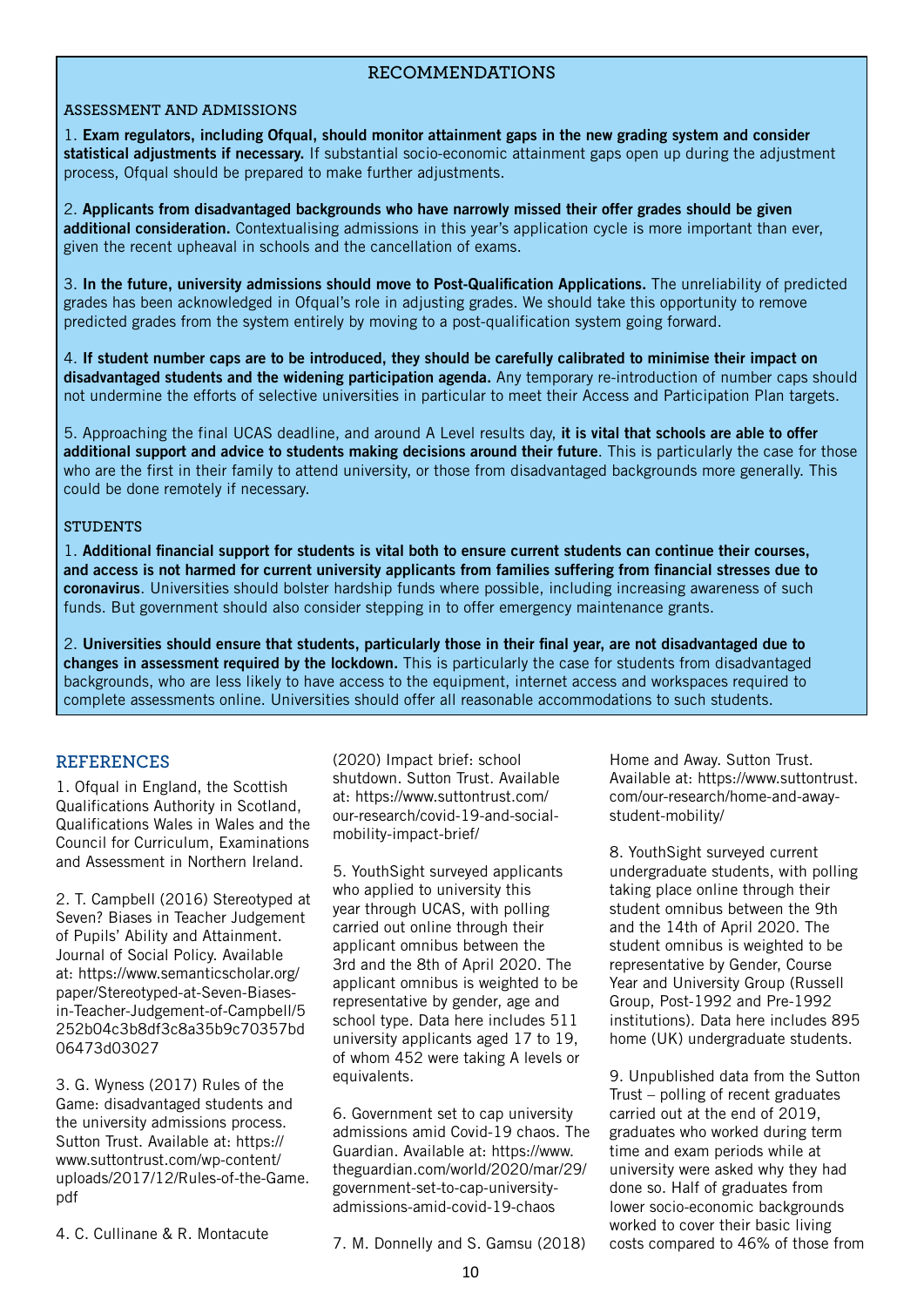## **RECOMMENDATIONS**

### **ASSESSMENT AND ADMISSIONS**

1. **Exam regulators, including Ofqual, should monitor attainment gaps in the new grading system and consider statistical adjustments if necessary.** If substantial socio-economic attainment gaps open up during the adjustment process, Ofqual should be prepared to make further adjustments.

2. **Applicants from disadvantaged backgrounds who have narrowly missed their offer grades should be given additional consideration.** Contextualising admissions in this year's application cycle is more important than ever, given the recent upheaval in schools and the cancellation of exams.

3. **In the future, university admissions should move to Post-Qualification Applications.** The unreliability of predicted grades has been acknowledged in Ofqual's role in adjusting grades. We should take this opportunity to remove predicted grades from the system entirely by moving to a post-qualification system going forward.

4. **If student number caps are to be introduced, they should be carefully calibrated to minimise their impact on disadvantaged students and the widening participation agenda.** Any temporary re-introduction of number caps should not undermine the efforts of selective universities in particular to meet their Access and Participation Plan targets.

5. Approaching the final UCAS deadline, and around A Level results day, **it is vital that schools are able to offer additional support and advice to students making decisions around their future**. This is particularly the case for those who are the first in their family to attend university, or those from disadvantaged backgrounds more generally. This could be done remotely if necessary.

#### **STUDENTS**

1. **Additional financial support for students is vital both to ensure current students can continue their courses, and access is not harmed for current university applicants from families suffering from financial stresses due to coronavirus**. Universities should bolster hardship funds where possible, including increasing awareness of such funds. But government should also consider stepping in to offer emergency maintenance grants.

2. **Universities should ensure that students, particularly those in their final year, are not disadvantaged due to changes in assessment required by the lockdown.** This is particularly the case for students from disadvantaged backgrounds, who are less likely to have access to the equipment, internet access and workspaces required to complete assessments online. Universities should offer all reasonable accommodations to such students.

### **REFERENCES**

1. Ofqual in England, the Scottish Qualifications Authority in Scotland, Qualifications Wales in Wales and the Council for Curriculum, Examinations and Assessment in Northern Ireland.

2. T. Campbell (2016) Stereotyped at Seven? Biases in Teacher Judgement of Pupils' Ability and Attainment. Journal of Social Policy. Available at: https://www.semanticscholar.org/ paper/Stereotyped-at-Seven-Biasesin-Teacher-Judgement-of-Campbell/5 252b04c3b8df3c8a35b9c70357bd 06473d03027

3. G. Wyness (2017) Rules of the Game: disadvantaged students and the university admissions process. Sutton Trust. Available at: https:// www.suttontrust.com/wp-content/ uploads/2017/12/Rules-of-the-Game. pdf

4. C. Cullinane & R. Montacute

(2020) Impact brief: school shutdown. Sutton Trust. Available at: https://www.suttontrust.com/ our-research/covid-19-and-socialmobility-impact-brief/

5. YouthSight surveyed applicants who applied to university this year through UCAS, with polling carried out online through their applicant omnibus between the 3rd and the 8th of April 2020. The applicant omnibus is weighted to be representative by gender, age and school type. Data here includes 511 university applicants aged 17 to 19, of whom 452 were taking A levels or equivalents.

6. Government set to cap university admissions amid Covid-19 chaos. The Guardian. Available at: https://www. theguardian.com/world/2020/mar/29/ government-set-to-cap-universityadmissions-amid-covid-19-chaos

7. M. Donnelly and S. Gamsu (2018)

Home and Away. Sutton Trust. Available at: https://www.suttontrust. com/our-research/home-and-awaystudent-mobility/

8. YouthSight surveyed current undergraduate students, with polling taking place online through their student omnibus between the 9th and the 14th of April 2020. The student omnibus is weighted to be representative by Gender, Course Year and University Group (Russell Group, Post-1992 and Pre-1992 institutions). Data here includes 895 home (UK) undergraduate students.

9. Unpublished data from the Sutton Trust – polling of recent graduates carried out at the end of 2019, graduates who worked during term time and exam periods while at university were asked why they had done so. Half of graduates from lower socio-economic backgrounds worked to cover their basic living costs compared to 46% of those from